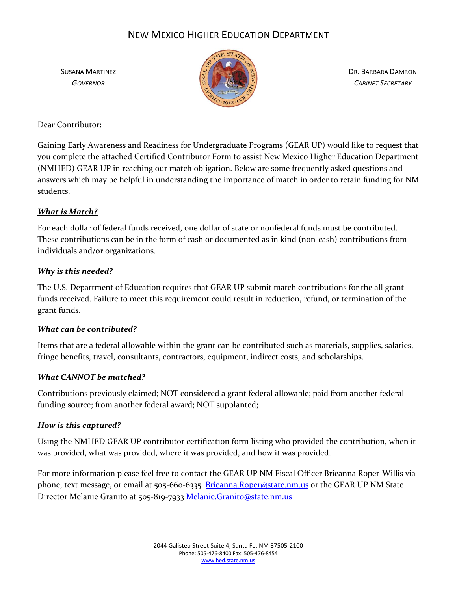

SUSANA MARTINEZ DR. BARBARA DAMRON

Dear Contributor:

Gaining Early Awareness and Readiness for Undergraduate Programs (GEAR UP) would like to request that you complete the attached Certified Contributor Form to assist New Mexico Higher Education Department (NMHED) GEAR UP in reaching our match obligation. Below are some frequently asked questions and answers which may be helpful in understanding the importance of match in order to retain funding for NM students.

## *What is Match?*

For each dollar of federal funds received, one dollar of state or nonfederal funds must be contributed. These contributions can be in the form of cash or documented as in kind (non-cash) contributions from individuals and/or organizations.

## *Why is this needed?*

The U.S. Department of Education requires that GEAR UP submit match contributions for the all grant funds received. Failure to meet this requirement could result in reduction, refund, or termination of the grant funds.

### *What can be contributed?*

Items that are a federal allowable within the grant can be contributed such as materials, supplies, salaries, fringe benefits, travel, consultants, contractors, equipment, indirect costs, and scholarships.

## *What CANNOT be matched?*

Contributions previously claimed; NOT considered a grant federal allowable; paid from another federal funding source; from another federal award; NOT supplanted;

### *How is this captured?*

Using the NMHED GEAR UP contributor certification form listing who provided the contribution, when it was provided, what was provided, where it was provided, and how it was provided.

For more information please feel free to contact the GEAR UP NM Fiscal Officer Brieanna Roper-Willis via phone, text message, or email at 505-660-6335 [Brieanna.Roper@state.nm.us](mailto:Brieanna.Roper@state.nm.us) or the GEAR UP NM State Director Melanie Granito at 505-819-7933 [Melanie.Granito@state.nm.us](mailto:Melanie.Granito@state.nm.us)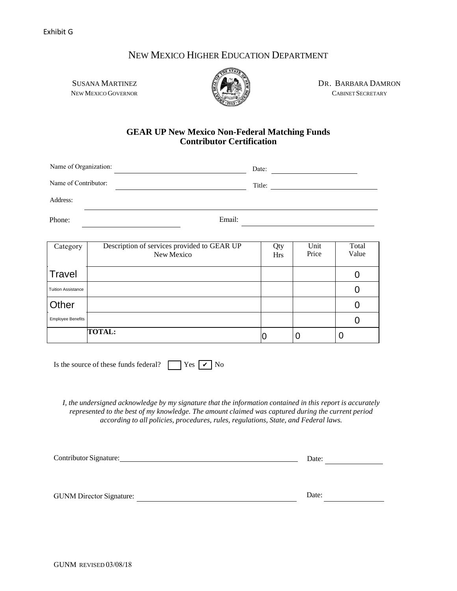

SUSANA MARTINEZ **DR. BARBARA DAMRON** NEW MEXICO GOVERNOR CABINET SECRETARY

#### **GEAR UP New Mexico Non-Federal Matching Funds Contributor Certification**

| Name of Organization:<br>Name of Contributor: |                                                           | Date:<br>Title: |                 |               |                |
|-----------------------------------------------|-----------------------------------------------------------|-----------------|-----------------|---------------|----------------|
|                                               |                                                           |                 |                 |               |                |
| Phone:                                        | Email:                                                    |                 |                 |               |                |
|                                               |                                                           |                 |                 |               |                |
| Category                                      | Description of services provided to GEAR UP<br>Now Movice |                 | Qty<br>$U_{rc}$ | Unit<br>Price | Total<br>Value |

| $\alpha$ <sub>k</sub> $\alpha$ <sub>y</sub> | Description of services provided to OE/HX OF<br>New Mexico | Y.<br>Hrs | $\mathbf{u}$<br>Price | 1 vuu<br>Value |
|---------------------------------------------|------------------------------------------------------------|-----------|-----------------------|----------------|
| Travel                                      |                                                            |           |                       |                |
| <b>Tuition Assistance</b>                   |                                                            |           |                       |                |
| Other                                       |                                                            |           |                       |                |
| <b>Employee Benefits</b>                    |                                                            |           |                       |                |
|                                             | <b>TOTAL:</b>                                              | ιU        | U                     | U              |

Is the source of these funds federal?  $\Box$  Yes  $\Box$  No

*I, the undersigned acknowledge by my signature that the information contained in this report is accurately represented to the best of my knowledge. The amount claimed was captured during the current period according to all policies, procedures, rules, regulations, State, and Federal laws.*

| Contributor Signature:          | Date: |
|---------------------------------|-------|
|                                 |       |
|                                 |       |
| <b>GUNM Director Signature:</b> | Date: |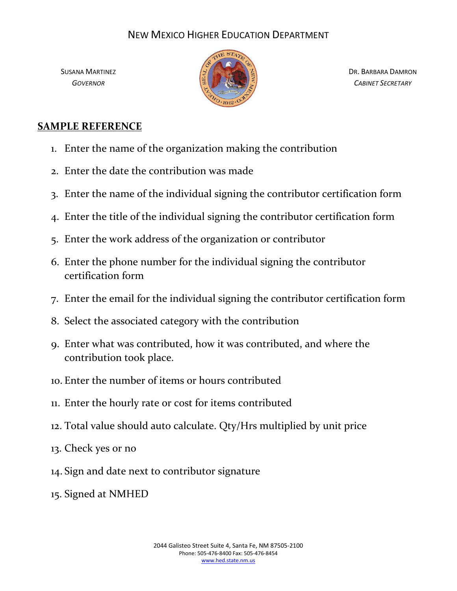

SUSANA MARTINEZ DR. BARBARA DAMRON

## **SAMPLE REFERENCE**

- 1. Enter the name of the organization making the contribution
- 2. Enter the date the contribution was made
- 3. Enter the name of the individual signing the contributor certification form
- 4. Enter the title of the individual signing the contributor certification form
- 5. Enter the work address of the organization or contributor
- 6. Enter the phone number for the individual signing the contributor certification form
- 7. Enter the email for the individual signing the contributor certification form
- 8. Select the associated category with the contribution
- 9. Enter what was contributed, how it was contributed, and where the contribution took place.
- 10. Enter the number of items or hours contributed
- 11. Enter the hourly rate or cost for items contributed
- 12. Total value should auto calculate. Qty/Hrs multiplied by unit price
- 13. Check yes or no
- 14. Sign and date next to contributor signature
- 15. Signed at NMHED